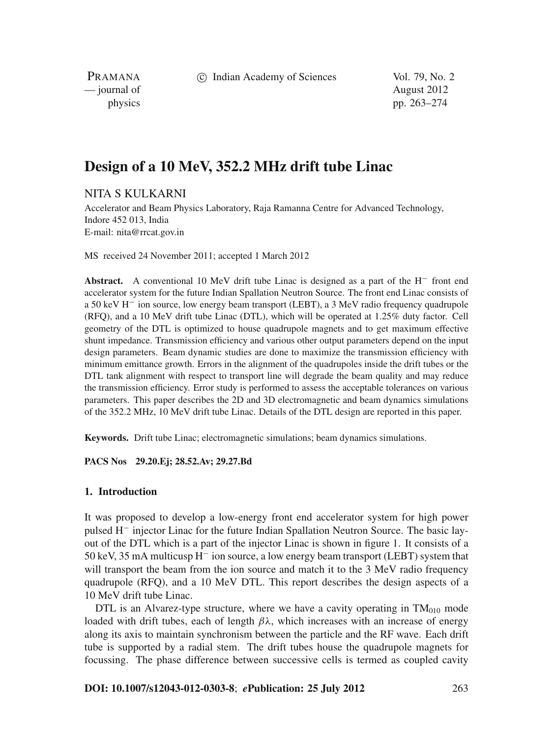c Indian Academy of Sciences Vol. 79, No. 2

PRAMANA — journal of August 2012

physics pp. 263–274

# **Design of a 10 MeV, 352.2 MHz drift tube Linac**

NITA S KULKARNI

Accelerator and Beam Physics Laboratory, Raja Ramanna Centre for Advanced Technology, Indore 452 013, India E-mail: nita@rrcat.gov.in

MS received 24 November 2011; accepted 1 March 2012

**Abstract.** A conventional 10 MeV drift tube Linac is designed as a part of the H<sup>−</sup> front end accelerator system for the future Indian Spallation Neutron Source. The front end Linac consists of a 50 keV H<sup>−</sup> ion source, low energy beam transport (LEBT), a 3 MeV radio frequency quadrupole (RFQ), and a 10 MeV drift tube Linac (DTL), which will be operated at 1.25% duty factor. Cell geometry of the DTL is optimized to house quadrupole magnets and to get maximum effective shunt impedance. Transmission efficiency and various other output parameters depend on the input design parameters. Beam dynamic studies are done to maximize the transmission efficiency with minimum emittance growth. Errors in the alignment of the quadrupoles inside the drift tubes or the DTL tank alignment with respect to transport line will degrade the beam quality and may reduce the transmission efficiency. Error study is performed to assess the acceptable tolerances on various parameters. This paper describes the 2D and 3D electromagnetic and beam dynamics simulations of the 352.2 MHz, 10 MeV drift tube Linac. Details of the DTL design are reported in this paper.

**Keywords.** Drift tube Linac; electromagnetic simulations; beam dynamics simulations.

**PACS Nos 29.20.Ej; 28.52.Av; 29.27.Bd**

#### **1. Introduction**

It was proposed to develop a low-energy front end accelerator system for high power pulsed H<sup>−</sup> injector Linac for the future Indian Spallation Neutron Source. The basic layout of the DTL which is a part of the injector Linac is shown in figure 1. It consists of a 50 keV, 35 mA multicusp H<sup>−</sup> ion source, a low energy beam transport (LEBT) system that will transport the beam from the ion source and match it to the 3 MeV radio frequency quadrupole (RFQ), and a 10 MeV DTL. This report describes the design aspects of a 10 MeV drift tube Linac.

DTL is an Alvarez-type structure, where we have a cavity operating in  $TM<sub>010</sub>$  mode loaded with drift tubes, each of length  $\beta \lambda$ , which increases with an increase of energy along its axis to maintain synchronism between the particle and the RF wave. Each drift tube is supported by a radial stem. The drift tubes house the quadrupole magnets for focussing. The phase difference between successive cells is termed as coupled cavity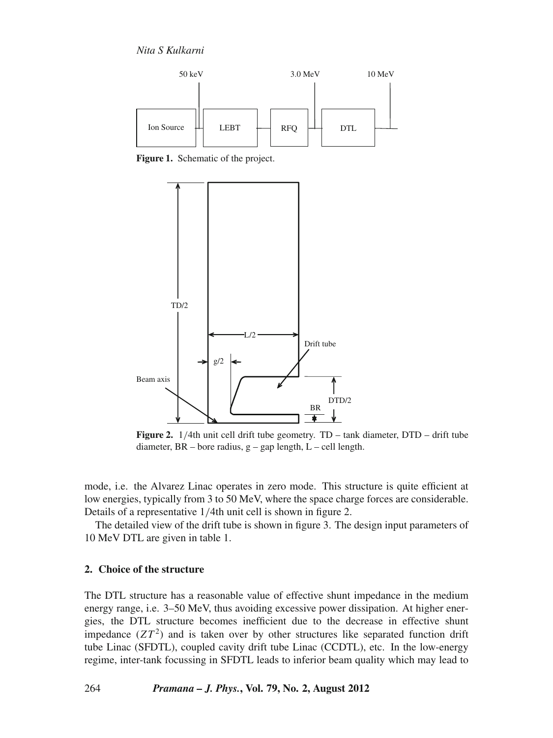*Nita S Kulkarni*



**Figure 1.** Schematic of the project.



**Figure 2.** 1/4th unit cell drift tube geometry. TD – tank diameter, DTD – drift tube diameter, BR – bore radius, g – gap length, L – cell length.

mode, i.e. the Alvarez Linac operates in zero mode. This structure is quite efficient at low energies, typically from 3 to 50 MeV, where the space charge forces are considerable. Details of a representative 1/4th unit cell is shown in figure 2.

The detailed view of the drift tube is shown in figure 3. The design input parameters of 10 MeV DTL are given in table 1.

# **2. Choice of the structure**

The DTL structure has a reasonable value of effective shunt impedance in the medium energy range, i.e. 3–50 MeV, thus avoiding excessive power dissipation. At higher energies, the DTL structure becomes inefficient due to the decrease in effective shunt impedance  $(ZT<sup>2</sup>)$  and is taken over by other structures like separated function drift tube Linac (SFDTL), coupled cavity drift tube Linac (CCDTL), etc. In the low-energy regime, inter-tank focussing in SFDTL leads to inferior beam quality which may lead to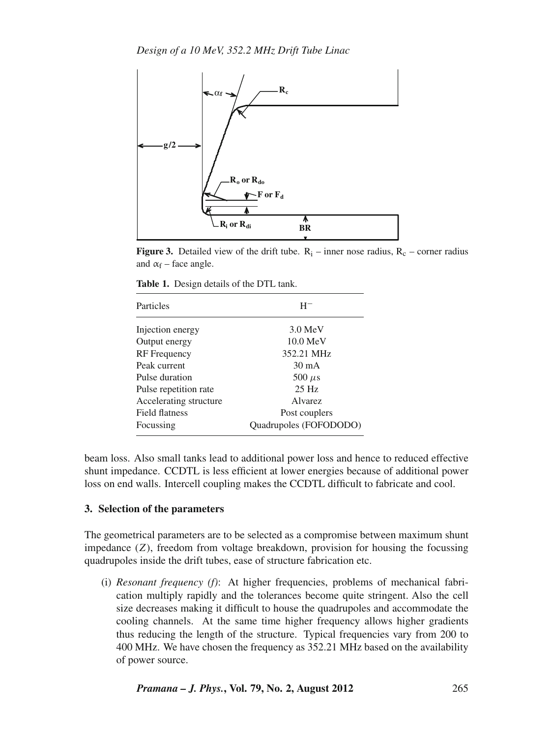

**Figure 3.** Detailed view of the drift tube.  $R_i$  – inner nose radius,  $R_c$  – corner radius and  $\alpha_f$  – face angle.

| Particles              | Н-                     |
|------------------------|------------------------|
| Injection energy       | $3.0 \text{ MeV}$      |
| Output energy          | $10.0 \text{ MeV}$     |
| <b>RF</b> Frequency    | 352.21 MHz             |
| Peak current           | $30 \text{ mA}$        |
| Pulse duration         | 500 $\mu$ s            |
| Pulse repetition rate  | $25$ Hz                |
| Accelerating structure | <b>A</b> lvarez        |
| <b>Field flatness</b>  | Post couplers          |
| Focussing              | Quadrupoles (FOFODODO) |

**Table 1.** Design details of the DTL tank.

beam loss. Also small tanks lead to additional power loss and hence to reduced effective shunt impedance. CCDTL is less efficient at lower energies because of additional power loss on end walls. Intercell coupling makes the CCDTL difficult to fabricate and cool.

#### **3. Selection of the parameters**

The geometrical parameters are to be selected as a compromise between maximum shunt impedance (*Z*), freedom from voltage breakdown, provision for housing the focussing quadrupoles inside the drift tubes, ease of structure fabrication etc.

(i) *Resonant frequency (f)*: At higher frequencies, problems of mechanical fabrication multiply rapidly and the tolerances become quite stringent. Also the cell size decreases making it difficult to house the quadrupoles and accommodate the cooling channels. At the same time higher frequency allows higher gradients thus reducing the length of the structure. Typical frequencies vary from 200 to 400 MHz. We have chosen the frequency as 352.21 MHz based on the availability of power source.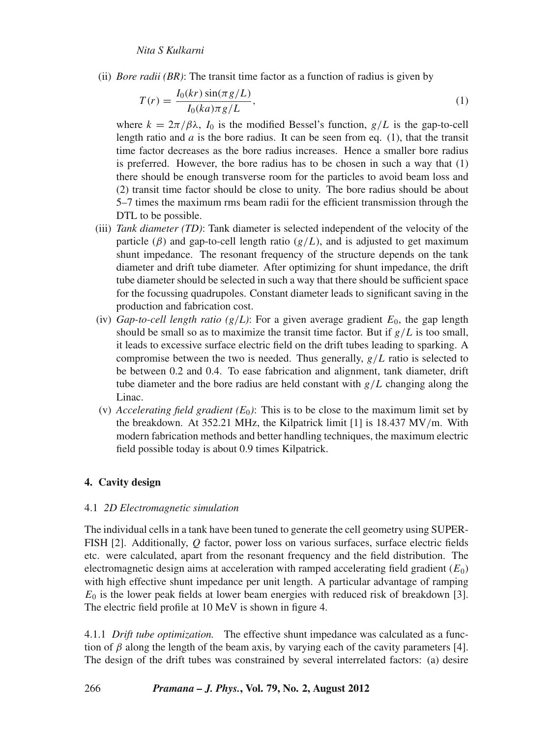(ii) *Bore radii (BR)*: The transit time factor as a function of radius is given by

$$
T(r) = \frac{I_0(kr)\sin(\pi g/L)}{I_0(ka)\pi g/L},\tag{1}
$$

where  $k = 2\pi/\beta\lambda$ ,  $I_0$  is the modified Bessel's function,  $g/L$  is the gap-to-cell length ratio and  $a$  is the bore radius. It can be seen from eq.  $(1)$ , that the transit time factor decreases as the bore radius increases. Hence a smaller bore radius is preferred. However, the bore radius has to be chosen in such a way that (1) there should be enough transverse room for the particles to avoid beam loss and (2) transit time factor should be close to unity. The bore radius should be about 5–7 times the maximum rms beam radii for the efficient transmission through the DTL to be possible.

- (iii) *Tank diameter (TD)*: Tank diameter is selected independent of the velocity of the particle ( $\beta$ ) and gap-to-cell length ratio ( $g/L$ ), and is adjusted to get maximum shunt impedance. The resonant frequency of the structure depends on the tank diameter and drift tube diameter. After optimizing for shunt impedance, the drift tube diameter should be selected in such a way that there should be sufficient space for the focussing quadrupoles. Constant diameter leads to significant saving in the production and fabrication cost.
- (iv) *Gap-to-cell length ratio (g/L)*: For a given average gradient  $E_0$ , the gap length should be small so as to maximize the transit time factor. But if  $g/L$  is too small, it leads to excessive surface electric field on the drift tubes leading to sparking. A compromise between the two is needed. Thus generally, *g*/*L* ratio is selected to be between 0.2 and 0.4. To ease fabrication and alignment, tank diameter, drift tube diameter and the bore radius are held constant with  $g/L$  changing along the Linac.
- (v) *Accelerating field gradient*  $(E_0)$ : This is to be close to the maximum limit set by the breakdown. At 352.21 MHz, the Kilpatrick limit [1] is 18.437 MV/m. With modern fabrication methods and better handling techniques, the maximum electric field possible today is about 0.9 times Kilpatrick.

# **4. Cavity design**

## 4.1 *2D Electromagnetic simulation*

The individual cells in a tank have been tuned to generate the cell geometry using SUPER-FISH [2]. Additionally, *Q* factor, power loss on various surfaces, surface electric fields etc. were calculated, apart from the resonant frequency and the field distribution. The electromagnetic design aims at acceleration with ramped accelerating field gradient  $(E_0)$ with high effective shunt impedance per unit length. A particular advantage of ramping  $E_0$  is the lower peak fields at lower beam energies with reduced risk of breakdown [3]. The electric field profile at 10 MeV is shown in figure 4.

4.1.1 *Drift tube optimization.* The effective shunt impedance was calculated as a function of  $\beta$  along the length of the beam axis, by varying each of the cavity parameters [4]. The design of the drift tubes was constrained by several interrelated factors: (a) desire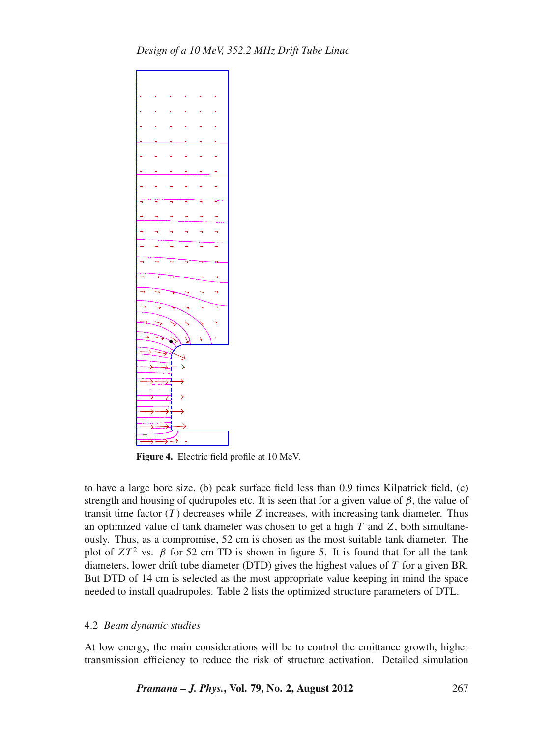

**Figure 4.** Electric field profile at 10 MeV.

to have a large bore size, (b) peak surface field less than 0.9 times Kilpatrick field, (c) strength and housing of qudrupoles etc. It is seen that for a given value of  $\beta$ , the value of transit time factor (*T* ) decreases while *Z* increases, with increasing tank diameter. Thus an optimized value of tank diameter was chosen to get a high *T* and *Z*, both simultaneously. Thus, as a compromise, 52 cm is chosen as the most suitable tank diameter. The plot of  $ZT^2$  vs.  $\beta$  for 52 cm TD is shown in figure 5. It is found that for all the tank diameters, lower drift tube diameter (DTD) gives the highest values of *T* for a given BR. But DTD of 14 cm is selected as the most appropriate value keeping in mind the space needed to install quadrupoles. Table 2 lists the optimized structure parameters of DTL.

## 4.2 *Beam dynamic studies*

At low energy, the main considerations will be to control the emittance growth, higher transmission efficiency to reduce the risk of structure activation. Detailed simulation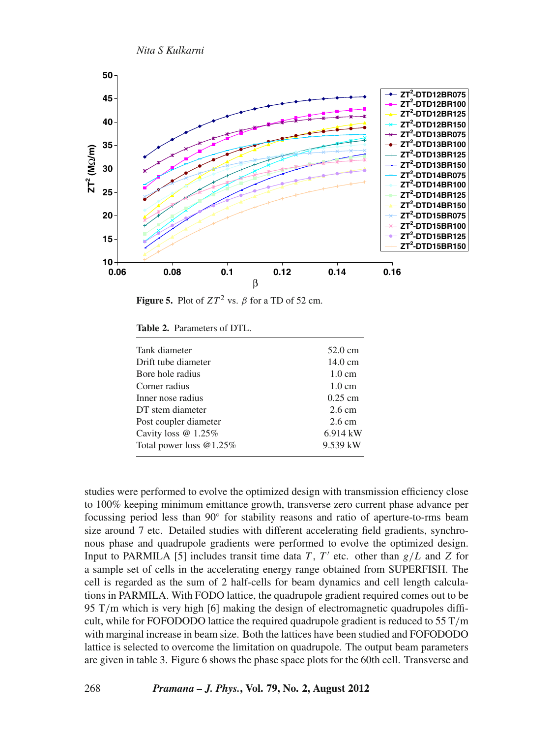

**Figure 5.** Plot of  $ZT^2$  vs.  $\beta$  for a TD of 52 cm.

**Table 2.** Parameters of DTL.

| Tank diameter              | $52.0 \text{ cm}$ |
|----------------------------|-------------------|
| Drift tube diameter        | $14.0 \text{ cm}$ |
| Bore hole radius           | $1.0 \text{ cm}$  |
| Corner radius              | $1.0 \text{ cm}$  |
| Inner nose radius          | $0.25$ cm         |
| DT stem diameter           | $2.6 \text{ cm}$  |
| Post coupler diameter      | $2.6 \text{ cm}$  |
| Cavity loss @ 1.25%        | 6.914 kW          |
| Total power loss $@1.25\%$ | 9.539 kW          |
|                            |                   |

studies were performed to evolve the optimized design with transmission efficiency close to 100% keeping minimum emittance growth, transverse zero current phase advance per focussing period less than 90◦ for stability reasons and ratio of aperture-to-rms beam size around 7 etc. Detailed studies with different accelerating field gradients, synchronous phase and quadrupole gradients were performed to evolve the optimized design. Input to PARMILA [5] includes transit time data *T*, *T'* etc. other than  $g/L$  and *Z* for a sample set of cells in the accelerating energy range obtained from SUPERFISH. The cell is regarded as the sum of 2 half-cells for beam dynamics and cell length calculations in PARMILA. With FODO lattice, the quadrupole gradient required comes out to be 95 T/m which is very high [6] making the design of electromagnetic quadrupoles difficult, while for FOFODODO lattice the required quadrupole gradient is reduced to  $55$  T/m with marginal increase in beam size. Both the lattices have been studied and FOFODODO lattice is selected to overcome the limitation on quadrupole. The output beam parameters are given in table 3. Figure 6 shows the phase space plots for the 60th cell. Transverse and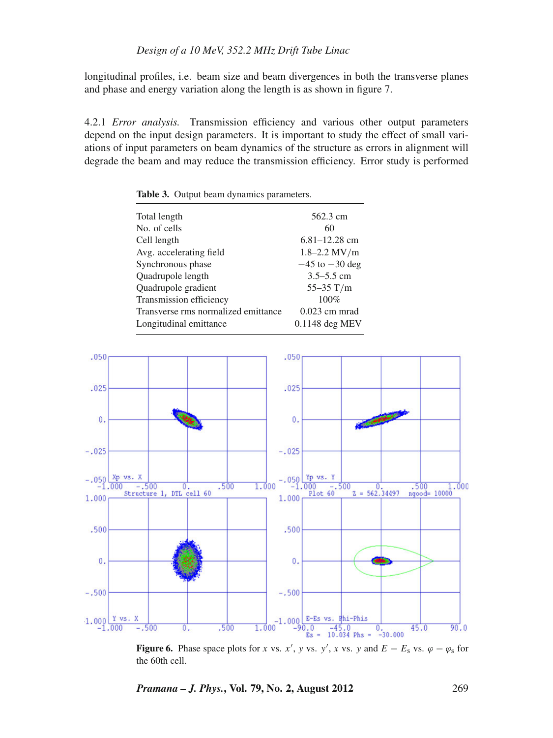longitudinal profiles, i.e. beam size and beam divergences in both the transverse planes and phase and energy variation along the length is as shown in figure 7.

4.2.1 *Error analysis.* Transmission efficiency and various other output parameters depend on the input design parameters. It is important to study the effect of small variations of input parameters on beam dynamics of the structure as errors in alignment will degrade the beam and may reduce the transmission efficiency. Error study is performed

Total length 562.3 cm No. of cells 60 Cell length 6.81–12.28 cm<br>Avg. accelerating field 1.8–2.2 MV/m Avg. accelerating field Synchronous phase  $-45$  to  $-30$  deg Quadrupole length 3.5–5.5 cm Quadrupole gradient 55–35 T/m Transmission efficiency 100%<br>Transverse rms normalized emittance 0.023 cm mrad Transverse rms normalized emittance Longitudinal emittance 0.1148 deg MEV

**Table 3.** Output beam dynamics parameters.



**Figure 6.** Phase space plots for *x* vs. *x'*, *y* vs. *y'*, *x* vs. *y* and  $E - E_s$  vs.  $\varphi - \varphi_s$  for the 60th cell.

*Pramana – J. Phys.***, Vol. 79, No. 2, August 2012** 269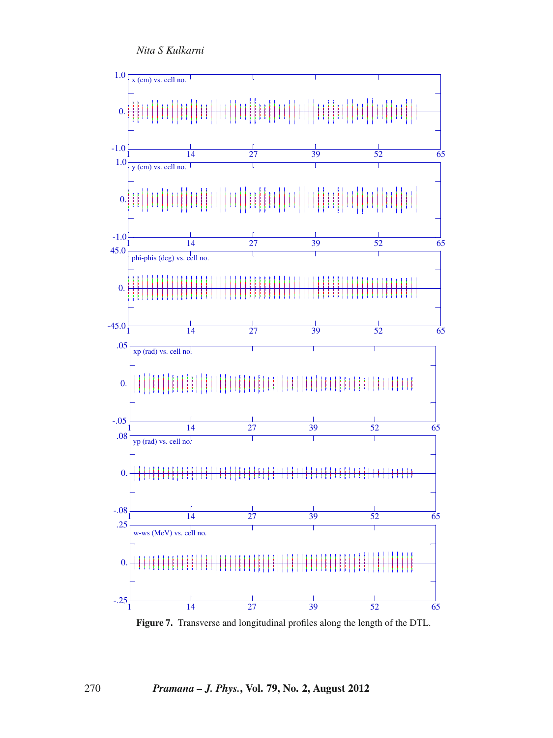*Nita S Kulkarni*



**Figure 7.** Transverse and longitudinal profiles along the length of the DTL.

270 *Pramana – J. Phys.***, Vol. 79, No. 2, August 2012**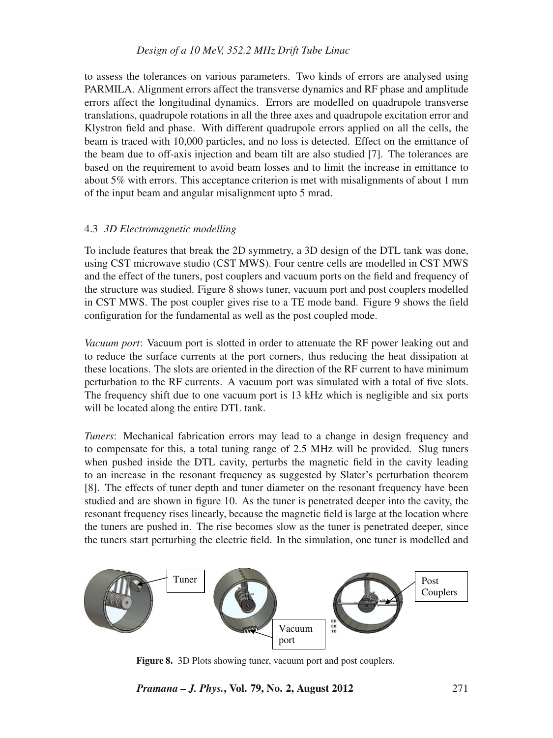## *Design of a 10 MeV, 352.2 MHz Drift Tube Linac*

to assess the tolerances on various parameters. Two kinds of errors are analysed using PARMILA. Alignment errors affect the transverse dynamics and RF phase and amplitude errors affect the longitudinal dynamics. Errors are modelled on quadrupole transverse translations, quadrupole rotations in all the three axes and quadrupole excitation error and Klystron field and phase. With different quadrupole errors applied on all the cells, the beam is traced with 10,000 particles, and no loss is detected. Effect on the emittance of the beam due to off-axis injection and beam tilt are also studied [7]. The tolerances are based on the requirement to avoid beam losses and to limit the increase in emittance to about 5% with errors. This acceptance criterion is met with misalignments of about 1 mm of the input beam and angular misalignment upto 5 mrad.

## 4.3 *3D Electromagnetic modelling*

To include features that break the 2D symmetry, a 3D design of the DTL tank was done, using CST microwave studio (CST MWS). Four centre cells are modelled in CST MWS and the effect of the tuners, post couplers and vacuum ports on the field and frequency of the structure was studied. Figure 8 shows tuner, vacuum port and post couplers modelled in CST MWS. The post coupler gives rise to a TE mode band. Figure 9 shows the field configuration for the fundamental as well as the post coupled mode.

*Vacuum port*: Vacuum port is slotted in order to attenuate the RF power leaking out and to reduce the surface currents at the port corners, thus reducing the heat dissipation at these locations. The slots are oriented in the direction of the RF current to have minimum perturbation to the RF currents. A vacuum port was simulated with a total of five slots. The frequency shift due to one vacuum port is 13 kHz which is negligible and six ports will be located along the entire DTL tank.

*Tuners*: Mechanical fabrication errors may lead to a change in design frequency and to compensate for this, a total tuning range of 2.5 MHz will be provided. Slug tuners when pushed inside the DTL cavity, perturbs the magnetic field in the cavity leading to an increase in the resonant frequency as suggested by Slater's perturbation theorem [8]. The effects of tuner depth and tuner diameter on the resonant frequency have been studied and are shown in figure 10. As the tuner is penetrated deeper into the cavity, the resonant frequency rises linearly, because the magnetic field is large at the location where the tuners are pushed in. The rise becomes slow as the tuner is penetrated deeper, since the tuners start perturbing the electric field. In the simulation, one tuner is modelled and



**Figure 8.** 3D Plots showing tuner, vacuum port and post couplers.

*Pramana – J. Phys.***, Vol. 79, No. 2, August 2012** 271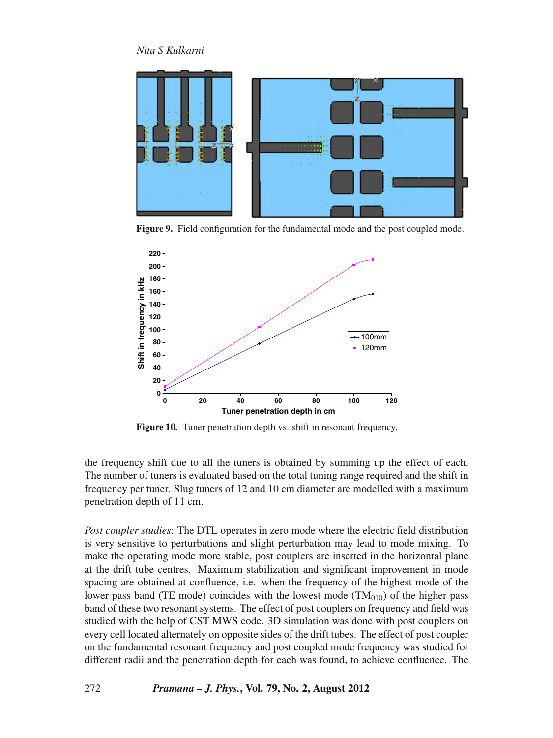# *Nita S Kulkarni*



**Figure 9.** Field configuration for the fundamental mode and the post coupled mode.



**Figure 10.** Tuner penetration depth vs. shift in resonant frequency.

the frequency shift due to all the tuners is obtained by summing up the effect of each. The number of tuners is evaluated based on the total tuning range required and the shift in frequency per tuner. Slug tuners of 12 and 10 cm diameter are modelled with a maximum penetration depth of 11 cm.

*Post coupler studies*: The DTL operates in zero mode where the electric field distribution is very sensitive to perturbations and slight perturbation may lead to mode mixing. To make the operating mode more stable, post couplers are inserted in the horizontal plane at the drift tube centres. Maximum stabilization and significant improvement in mode spacing are obtained at confluence, i.e. when the frequency of the highest mode of the lower pass band (TE mode) coincides with the lowest mode  $(TM<sub>010</sub>)$  of the higher pass band of these two resonant systems. The effect of post couplers on frequency and field was studied with the help of CST MWS code. 3D simulation was done with post couplers on every cell located alternately on opposite sides of the drift tubes. The effect of post coupler on the fundamental resonant frequency and post coupled mode frequency was studied for different radii and the penetration depth for each was found, to achieve confluence. The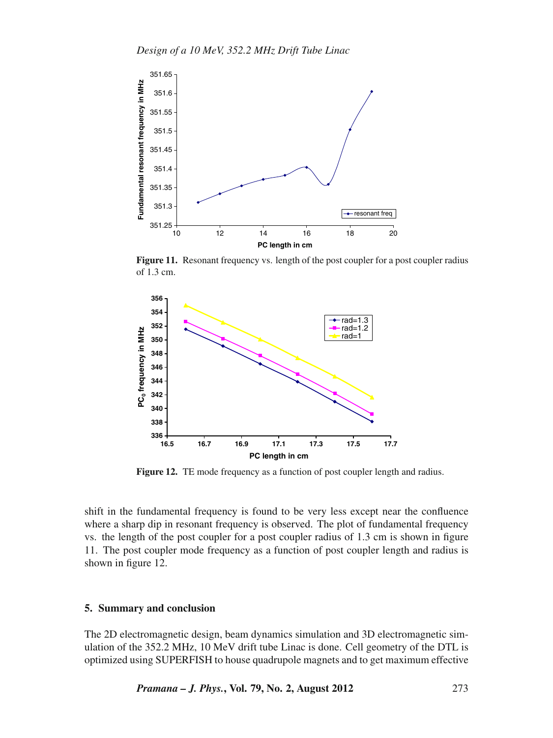

Figure 11. Resonant frequency vs. length of the post coupler for a post coupler radius of 1.3 cm.



**Figure 12.** TE mode frequency as a function of post coupler length and radius.

shift in the fundamental frequency is found to be very less except near the confluence where a sharp dip in resonant frequency is observed. The plot of fundamental frequency vs. the length of the post coupler for a post coupler radius of 1.3 cm is shown in figure 11. The post coupler mode frequency as a function of post coupler length and radius is shown in figure 12.

#### **5. Summary and conclusion**

The 2D electromagnetic design, beam dynamics simulation and 3D electromagnetic simulation of the 352.2 MHz, 10 MeV drift tube Linac is done. Cell geometry of the DTL is optimized using SUPERFISH to house quadrupole magnets and to get maximum effective

*Pramana – J. Phys.***, Vol. 79, No. 2, August 2012** 273